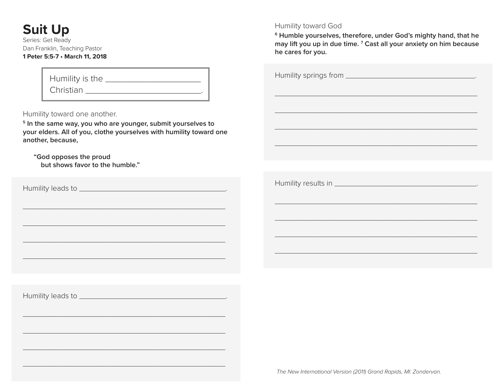# **Suit Up**

Series: Get Ready Dan Franklin, Teaching Pastor **1 Peter 5:5-7 • March 11, 2018**

## Humility is the \_\_\_\_\_\_\_\_\_\_\_\_\_\_\_\_\_\_\_ Christian \_\_\_\_\_\_\_\_\_\_\_\_\_\_\_\_\_\_\_\_\_\_\_\_\_\_\_\_\_\_\_\_\_\_.

Humility toward one another.

**5 In the same way, you who are younger, submit yourselves to your elders. All of you, clothe yourselves with humility toward one another, because,**

\_\_\_\_\_\_\_\_\_\_\_\_\_\_\_\_\_\_\_\_\_\_\_\_\_\_\_\_\_\_\_\_\_\_\_\_\_\_\_\_\_\_\_\_\_\_\_

\_\_\_\_\_\_\_\_\_\_\_\_\_\_\_\_\_\_\_\_\_\_\_\_\_\_\_\_\_\_\_\_\_\_\_\_\_\_\_\_\_\_\_\_\_\_\_

\_\_\_\_\_\_\_\_\_\_\_\_\_\_\_\_\_\_\_\_\_\_\_\_\_\_\_\_\_\_\_\_\_\_\_\_\_\_\_\_\_\_\_\_\_\_\_

\_\_\_\_\_\_\_\_\_\_\_\_\_\_\_\_\_\_\_\_\_\_\_\_\_\_\_\_\_\_\_\_\_\_\_\_\_\_\_\_\_\_\_\_\_\_\_

\_\_\_\_\_\_\_\_\_\_\_\_\_\_\_\_\_\_\_\_\_\_\_\_\_\_\_\_\_\_\_\_\_\_\_\_\_\_\_\_\_\_\_\_\_\_\_

\_\_\_\_\_\_\_\_\_\_\_\_\_\_\_\_\_\_\_\_\_\_\_\_\_\_\_\_\_\_\_\_\_\_\_\_\_\_\_\_\_\_\_\_\_\_\_

\_\_\_\_\_\_\_\_\_\_\_\_\_\_\_\_\_\_\_\_\_\_\_\_\_\_\_\_\_\_\_\_\_\_\_\_\_\_\_\_\_\_\_\_\_\_\_

\_\_\_\_\_\_\_\_\_\_\_\_\_\_\_\_\_\_\_\_\_\_\_\_\_\_\_\_\_\_\_\_\_\_\_\_\_\_\_\_\_\_\_\_\_\_\_

 **"God opposes the proud but shows favor to the humble."**

Humility leads to \_\_\_\_\_\_\_\_\_\_\_\_\_\_\_\_\_\_\_\_\_\_\_\_\_\_\_\_\_\_\_\_\_\_.

Humility toward God

**6 Humble yourselves, therefore, under God's mighty hand, that he may lift you up in due time. 7 Cast all your anxiety on him because he cares for you.**

| <u> 1989 - Johann Harry Harry Harry Harry Harry Harry Harry Harry Harry Harry Harry Harry Harry Harry Harry Harry</u> |  |  |
|-----------------------------------------------------------------------------------------------------------------------|--|--|
|                                                                                                                       |  |  |
|                                                                                                                       |  |  |
|                                                                                                                       |  |  |
|                                                                                                                       |  |  |
|                                                                                                                       |  |  |
|                                                                                                                       |  |  |
|                                                                                                                       |  |  |
|                                                                                                                       |  |  |
|                                                                                                                       |  |  |

\_\_\_\_\_\_\_\_\_\_\_\_\_\_\_\_\_\_\_\_\_\_\_\_\_\_\_\_\_\_\_\_\_\_\_\_\_\_\_\_\_\_\_\_\_\_\_

Humility leads to \_\_\_\_\_\_\_\_\_\_\_\_\_\_\_\_\_\_\_\_\_\_\_\_\_\_\_\_\_\_\_\_\_\_.